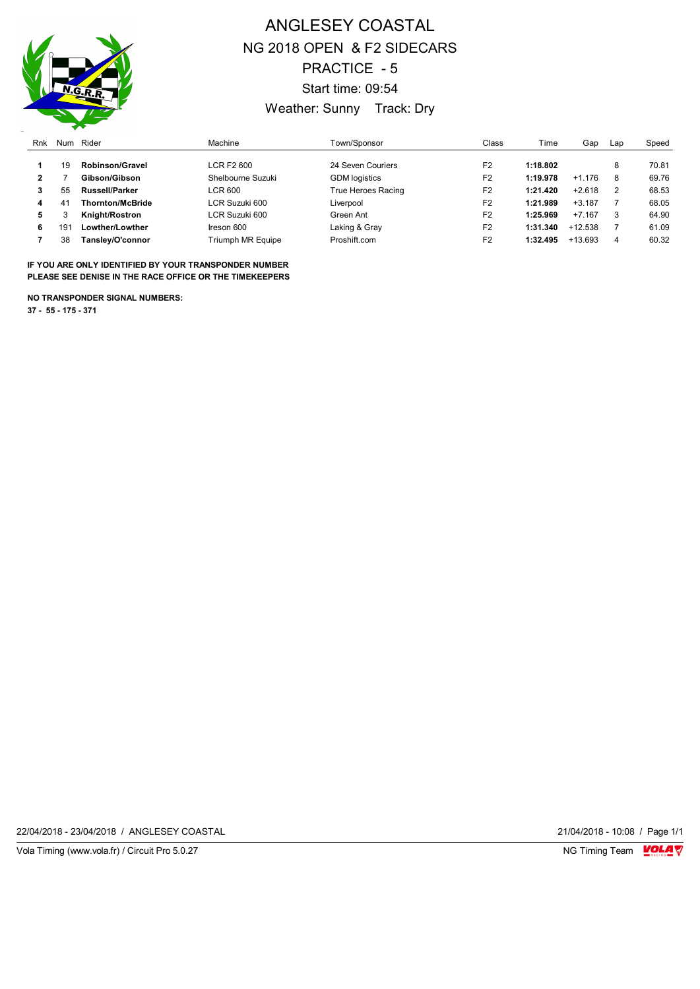

## ANGLESEY COASTAL NG 2018 OPEN & F2 SIDECARS PRACTICE - 5 Start time: 09:54 Weather: Sunny Track: Dry

| Rnk | Num             | Rider                   | Machine                  | Town/Sponsor         | Class          | Time     | Gap       | Lap | Speed |
|-----|-----------------|-------------------------|--------------------------|----------------------|----------------|----------|-----------|-----|-------|
|     | 19              | <b>Robinson/Gravel</b>  | LCR F2 600               | 24 Seven Couriers    | F <sub>2</sub> | 1:18.802 |           | 8   | 70.81 |
| 2   |                 | Gibson/Gibson           | Shelbourne Suzuki        | <b>GDM</b> logistics | F <sub>2</sub> | 1:19.978 | $+1.176$  | 8   | 69.76 |
|     | 55              | <b>Russell/Parker</b>   | LCR 600                  | True Heroes Racing   | F <sub>2</sub> | 1:21.420 | $+2.618$  | 2   | 68.53 |
| 4   | 41              | <b>Thornton/McBride</b> | LCR Suzuki 600           | Liverpool            | F <sub>2</sub> | 1:21.989 | $+3.187$  |     | 68.05 |
| 5   |                 | Knight/Rostron          | LCR Suzuki 600           | Green Ant            | F <sub>2</sub> | 1:25.969 | $+7.167$  | 3   | 64.90 |
| 6   | 19 <sup>7</sup> | Lowther/Lowther         | Ireson 600               | Laking & Gray        | F <sub>2</sub> | 1:31.340 | $+12.538$ |     | 61.09 |
|     | 38              | Tanslev/O'connor        | <b>Triumph MR Equipe</b> | Proshift.com         | F <sub>2</sub> | 1:32.495 | $+13.693$ | 4   | 60.32 |

**IF YOU ARE ONLY IDENTIFIED BY YOUR TRANSPONDER NUMBER PLEASE SEE DENISE IN THE RACE OFFICE OR THE TIMEKEEPERS**

**NO TRANSPONDER SIGNAL NUMBERS:**

**37 - 55 - 175 - 371**

22/04/2018 - 23/04/2018 / ANGLESEY COASTAL 21/04/2018 - 10:08 / Page 1/1

Vola Timing (www.vola.fr) / Circuit Pro 5.0.27 **NG Timing Team Monet Account Contract On Account Profession** NG Timing Team Monet Account Profession NG Timing Team Monet Account Profession NG Timing Team Monet Account Prof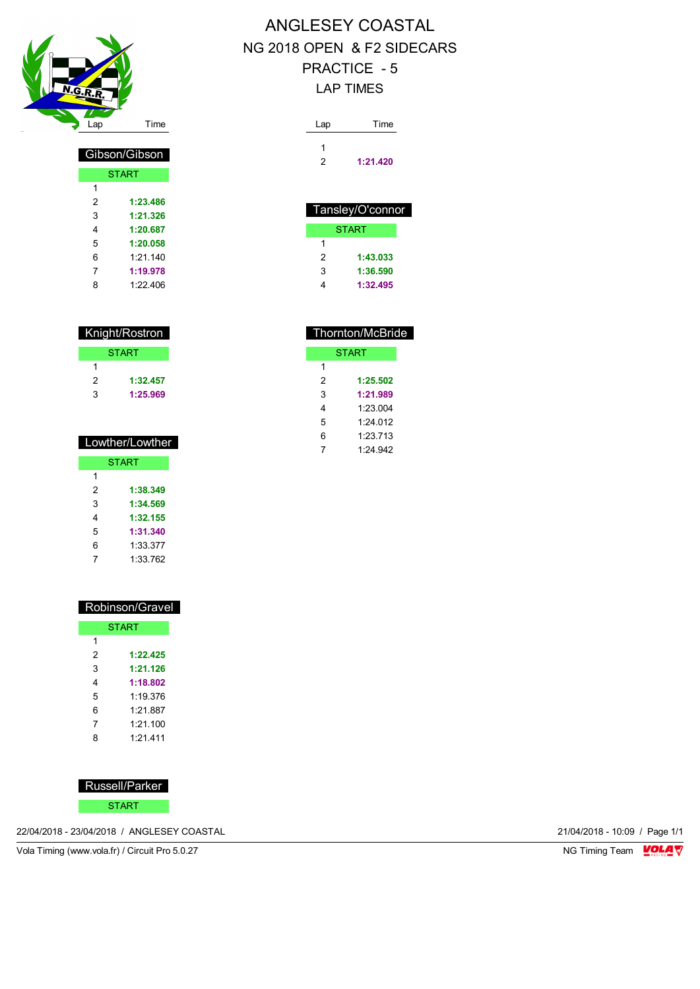

| Gibson/Gibson |              |  |  |  |
|---------------|--------------|--|--|--|
|               | <b>START</b> |  |  |  |
| 1             |              |  |  |  |
| 2             | 1:23.486     |  |  |  |
| 3             | 1:21.326     |  |  |  |
| 4             | 1:20.687     |  |  |  |
| 5             | 1:20.058     |  |  |  |
| 6             | 1.21140      |  |  |  |
| 7             | 1:19.978     |  |  |  |
| 8             | 1.22406      |  |  |  |

| Knight/Rostron |              |  |  |
|----------------|--------------|--|--|
|                | <b>START</b> |  |  |
| 1              |              |  |  |
| 2              | 1:32.457     |  |  |
| 3              | 1:25.969     |  |  |
|                |              |  |  |

| Lowther/Lowther |          |  |  |  |
|-----------------|----------|--|--|--|
| <b>START</b>    |          |  |  |  |
| 1               |          |  |  |  |
| 2               | 1:38.349 |  |  |  |
| 3               | 1:34.569 |  |  |  |
| 4               | 1:32.155 |  |  |  |
| 5               | 1:31.340 |  |  |  |
| 6               | 1:33.377 |  |  |  |
| 7               | 1:33.762 |  |  |  |

| Robinson/Gravel |              |  |  |  |  |
|-----------------|--------------|--|--|--|--|
|                 | <b>START</b> |  |  |  |  |
| 1               |              |  |  |  |  |
| 2               | 1:22.425     |  |  |  |  |
| 3               | 1:21.126     |  |  |  |  |
| 4               | 1:18.802     |  |  |  |  |
| 5               | 1.19376      |  |  |  |  |
| 6               | 1.21 887     |  |  |  |  |
| 7               | 1.21 100     |  |  |  |  |
| 8               | 1.21411      |  |  |  |  |
|                 |              |  |  |  |  |

Russell/Parker

START

22/04/2018 - 23/04/2018 / ANGLESEY COASTAL 21/04/2018 - 10:09 / Page 1/1

Vola Timing (www.vola.fr) / Circuit Pro 5.0.27 NG Timing Team VOLA V

# ANGLESEY COASTAL NG 2018 OPEN & F2 SIDECARS PRACTICE - 5

#### LAP TIMES

| 1:21.420 |
|----------|
|          |

| Tansley/O'connor |          |  |  |
|------------------|----------|--|--|
|                  | START    |  |  |
| 1                |          |  |  |
| 2                | 1:43.033 |  |  |
| 3                | 1:36.590 |  |  |
| 4                | 1:32.495 |  |  |
|                  |          |  |  |

| <b>Thornton/McBride</b> |          |  |  |  |
|-------------------------|----------|--|--|--|
| START                   |          |  |  |  |
| 1                       |          |  |  |  |
| 2                       | 1:25.502 |  |  |  |
| 3                       | 1:21.989 |  |  |  |
| 4                       | 1:23.004 |  |  |  |
| 5                       | 1.24012  |  |  |  |
| 6                       | 1:23.713 |  |  |  |
| 7                       | 1.24 942 |  |  |  |
|                         |          |  |  |  |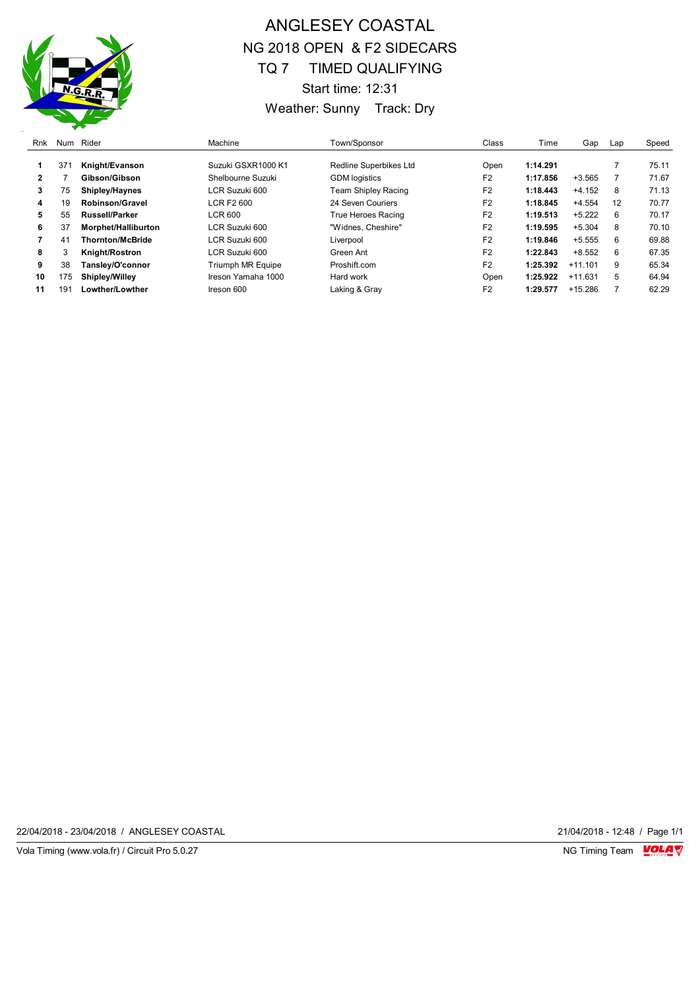

## ANGLESEY COASTAL NG 2018 OPEN & F2 SIDECARS TQ 7 TIMED QUALIFYING Start time: 12:31 Weather: Sunny Track: Dry

| Rnk | Num             | Rider                   | Machine                  | Town/Sponsor           | Class          | Time     | Gap       | Lap | Speed |
|-----|-----------------|-------------------------|--------------------------|------------------------|----------------|----------|-----------|-----|-------|
|     | 37 <sup>′</sup> | Knight/Evanson          | Suzuki GSXR1000 K1       | Redline Superbikes Ltd | Open           | 1:14.291 |           |     | 75.11 |
| 2   |                 | Gibson/Gibson           | Shelbourne Suzuki        | <b>GDM</b> logistics   | F <sub>2</sub> | 1:17.856 | $+3.565$  |     | 71.67 |
| 3   | 75              | Shipley/Haynes          | LCR Suzuki 600           | Team Shipley Racing    | F <sub>2</sub> | 1:18.443 | $+4.152$  | 8   | 71.13 |
| 4   | 19              | <b>Robinson/Gravel</b>  | LCR F2 600               | 24 Seven Couriers      | F <sub>2</sub> | 1:18.845 | $+4.554$  | 12  | 70.77 |
| 5   | 55              | <b>Russell/Parker</b>   | LCR 600                  | True Heroes Racing     | F <sub>2</sub> | 1:19.513 | $+5.222$  | 6   | 70.17 |
| 6   | 37              | Morphet/Halliburton     | LCR Suzuki 600           | "Widnes, Cheshire"     | F <sub>2</sub> | 1:19.595 | $+5.304$  | 8   | 70.10 |
|     | 41              | <b>Thornton/McBride</b> | LCR Suzuki 600           | Liverpool              | F <sub>2</sub> | 1:19.846 | $+5.555$  | 6   | 69.88 |
| 8   | 3               | Knight/Rostron          | LCR Suzuki 600           | Green Ant              | F <sub>2</sub> | 1:22.843 | $+8.552$  | 6   | 67.35 |
| 9   | 38              | Tansley/O'connor        | <b>Triumph MR Equipe</b> | Proshift.com           | F <sub>2</sub> | 1:25.392 | $+11.101$ | 9   | 65.34 |
| 10  | 175             | <b>Shipley/Willey</b>   | Ireson Yamaha 1000       | Hard work              | Open           | 1:25.922 | $+11.631$ | 5   | 64.94 |
| 11  | 19              | Lowther/Lowther         | Ireson 600               | Laking & Gray          | F <sub>2</sub> | 1:29.577 | $+15.286$ |     | 62.29 |

22/04/2018 - 23/04/2018 / ANGLESEY COASTAL 21/04/2018 - 12:48 / Page 1/1

Vola Timing (www.vola.fr) / Circuit Pro 5.0.27 NG Timing Team VOLA V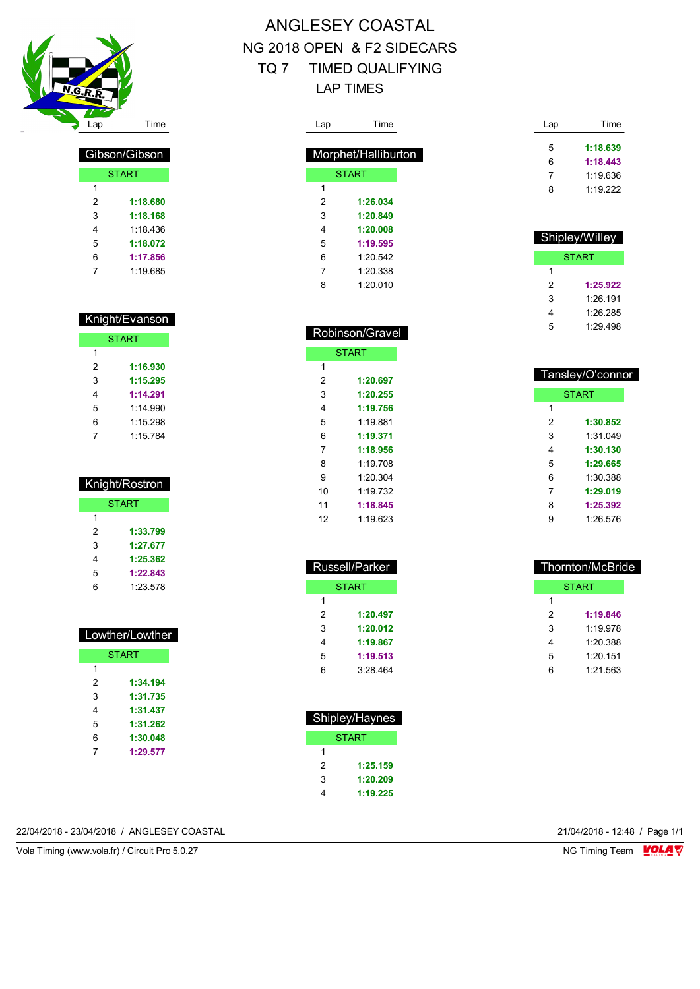

| Gibson/Gibson |          |  |  |  |
|---------------|----------|--|--|--|
| <b>START</b>  |          |  |  |  |
| 1             |          |  |  |  |
| 2             | 1:18.680 |  |  |  |
| 3             | 1:18.168 |  |  |  |
| 4             | 1 18 436 |  |  |  |
| 5             | 1:18.072 |  |  |  |
| 6             | 1:17.856 |  |  |  |
|               | 1:19.685 |  |  |  |

#### Knight/Evanson

| <b>START</b> |          |  |  |  |  |
|--------------|----------|--|--|--|--|
| 1            |          |  |  |  |  |
| 2            | 1:16.930 |  |  |  |  |
| 3            | 1:15.295 |  |  |  |  |
| 4            | 1:14.291 |  |  |  |  |
| 5            | 1.14990  |  |  |  |  |
| 6            | 1:15.298 |  |  |  |  |
|              | 1:15.784 |  |  |  |  |

| Knight/Rostron |          |  |  |  |  |
|----------------|----------|--|--|--|--|
| <b>START</b>   |          |  |  |  |  |
| 1              |          |  |  |  |  |
| 2              | 1:33.799 |  |  |  |  |
| 3              | 1:27.677 |  |  |  |  |
| 4              | 1:25.362 |  |  |  |  |
| 5              | 1:22.843 |  |  |  |  |
| 6              | 1.23.578 |  |  |  |  |

|   | Lowther/Lowther |  |  |  |  |
|---|-----------------|--|--|--|--|
|   | <b>START</b>    |  |  |  |  |
| 1 |                 |  |  |  |  |
| 2 | 1:34.194        |  |  |  |  |
| 3 | 1:31.735        |  |  |  |  |
| 4 | 1:31.437        |  |  |  |  |
| 5 | 1:31.262        |  |  |  |  |
| 6 | 1:30.048        |  |  |  |  |
| 7 | 1:29.577        |  |  |  |  |

#### ANGLESEY COASTAL NG 2018 OPEN & F2 SIDECARS TQ 7 TIMED QUALIFYING LAP TIMES

| Lap | Time                |
|-----|---------------------|
|     | Morphet/Halliburton |
|     | <b>START</b>        |
| 1   |                     |
| 2   | 1:26.034            |
| 3   | 1:20.849            |
| 4   | 1:20.008            |
| 5   | 1:19.595            |
| 6   | 1.20.542            |
| 7   | 1:20.338            |
| 8   | 1:200010            |

| Robinson/Gravel |              |  |  |  |
|-----------------|--------------|--|--|--|
|                 | <b>START</b> |  |  |  |
| 1               |              |  |  |  |
| 2               | 1:20.697     |  |  |  |
| 3               | 1:20.255     |  |  |  |
| 4               | 1:19.756     |  |  |  |
| 5               | $1.19$ 881   |  |  |  |
| 6               | 1:19.371     |  |  |  |
| 7               | 1:18.956     |  |  |  |
| 8               | 1:19.708     |  |  |  |
| 9               | 1:20.304     |  |  |  |
| 10              | 1:19.732     |  |  |  |
| 11              | 1:18.845     |  |  |  |
| 12              | 1:19.623     |  |  |  |

| Russell/Parker |          |  |  |  |  |
|----------------|----------|--|--|--|--|
|                | START    |  |  |  |  |
| 1              |          |  |  |  |  |
| 2              | 1:20.497 |  |  |  |  |
| 3              | 1:20.012 |  |  |  |  |
| 4              | 1:19.867 |  |  |  |  |
| 5              | 1:19.513 |  |  |  |  |
| 6              | 3:28.464 |  |  |  |  |

| Shipley/Haynes |              |  |  |  |  |
|----------------|--------------|--|--|--|--|
|                | <b>START</b> |  |  |  |  |
| 1              |              |  |  |  |  |
| 2              | 1:25.159     |  |  |  |  |
| 3              | 1:20.209     |  |  |  |  |
|                | 1:19.225     |  |  |  |  |

Lap Time **1:18.639 1:18.443** 1:19.636 1:19.222

| Shipley/Willey |          |  |  |  |
|----------------|----------|--|--|--|
|                | START    |  |  |  |
| 1              |          |  |  |  |
| 2              | 1:25.922 |  |  |  |
| 3              | 1.26 191 |  |  |  |
| 4              | 1.26.285 |  |  |  |
| 5              | 1:29.498 |  |  |  |

| Tansley/O'connor |              |  |  |  |
|------------------|--------------|--|--|--|
|                  | <b>START</b> |  |  |  |
| 1                |              |  |  |  |
| 2                | 1:30.852     |  |  |  |
| 3                | 1:31 049     |  |  |  |
| 4                | 1:30.130     |  |  |  |
| 5                | 1:29.665     |  |  |  |
| 6                | 1:30.388     |  |  |  |
| 7                | 1:29.019     |  |  |  |
| 8                | 1:25.392     |  |  |  |
| g                | 1:26.576     |  |  |  |

| Thornton/McBride |          |  |  |  |  |  |  |
|------------------|----------|--|--|--|--|--|--|
|                  | START    |  |  |  |  |  |  |
| 1                |          |  |  |  |  |  |  |
| 2                | 1:19.846 |  |  |  |  |  |  |
| 3                | 1.19978  |  |  |  |  |  |  |
| 4                | 1:20.388 |  |  |  |  |  |  |
| 5                | 1.20151  |  |  |  |  |  |  |
| 6                | 1.21.563 |  |  |  |  |  |  |

22/04/2018 - 23/04/2018 / ANGLESEY COASTAL 21/04/2018 - 12:48 / Page 1/1

Vola Timing (www.vola.fr) / Circuit Pro 5.0.27 NG Timing Team Monetary NG Timing Team Monetary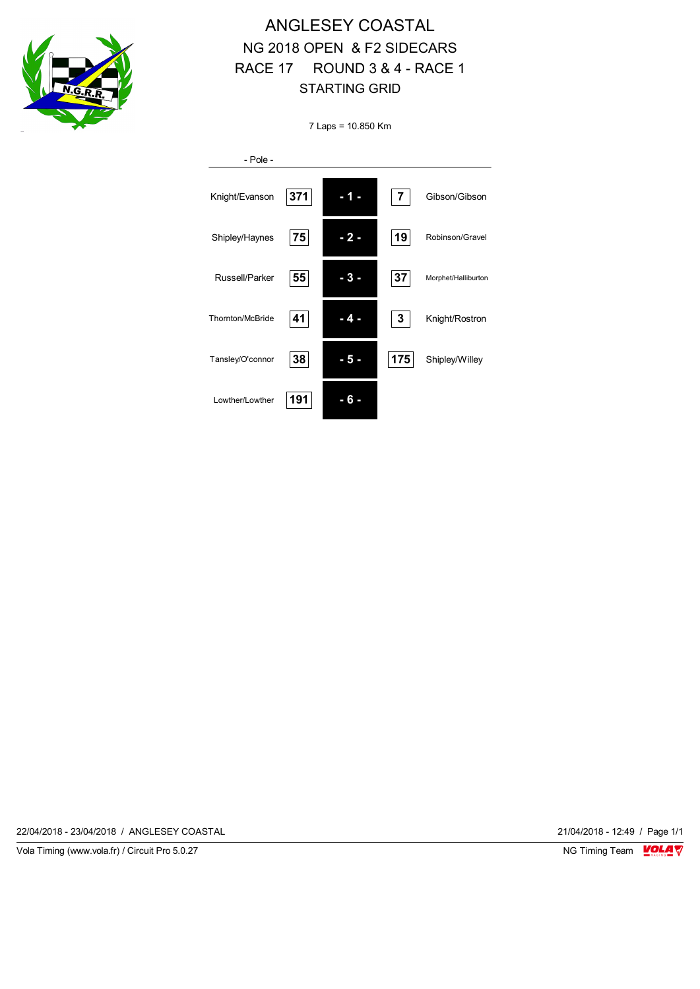

### ANGLESEY COASTAL NG 2018 OPEN & F2 SIDECARS RACE 17 ROUND 3 & 4 - RACE 1 STARTING GRID

7 Laps = 10.850 Km

| $-$ Pole $-$     |     |       |                |                     |
|------------------|-----|-------|----------------|---------------------|
| Knight/Evanson   | 371 |       | $\overline{7}$ | Gibson/Gibson       |
| Shipley/Haynes   | 75  | - 2 - | 19             | Robinson/Gravel     |
| Russell/Parker   | 55  |       | 37             | Morphet/Halliburton |
| Thornton/McBride | 41  | - 4   | 3              | Knight/Rostron      |
| Tansley/O'connor | 38  | -5-   | 175            | Shipley/Willey      |
| Lowther/Lowther  | 191 |       |                |                     |

22/04/2018 - 23/04/2018 / ANGLESEY COASTAL 21/04/2018 - 12:49 / Page 1/1

Vola Timing (www.vola.fr) / Circuit Pro 5.0.27 **NG Timing Team Monet Account Property**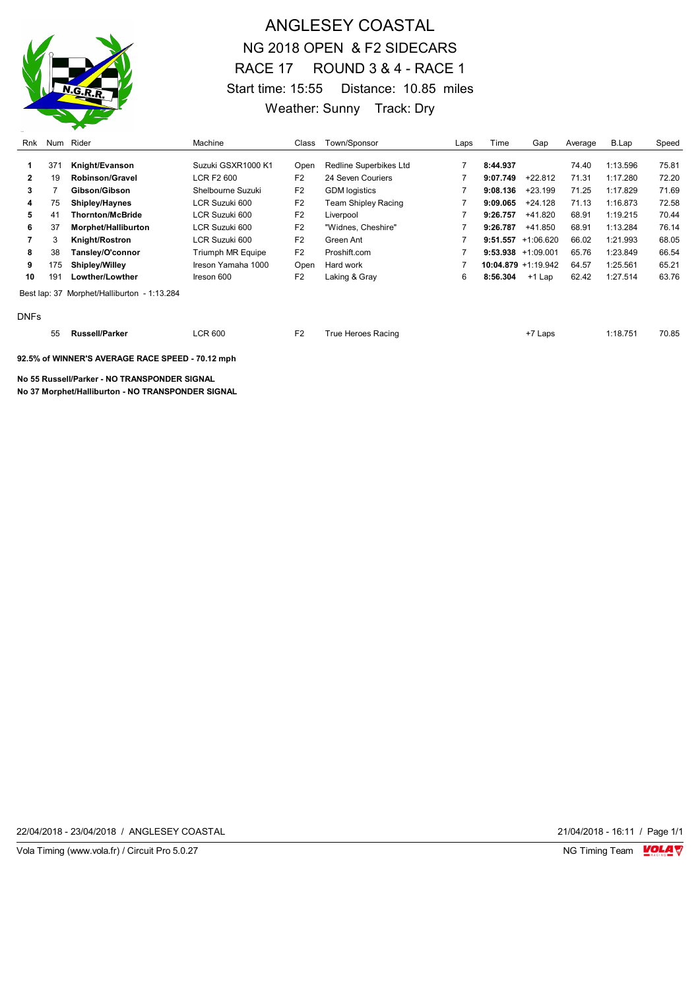

#### ANGLESEY COASTAL NG 2018 OPEN & F2 SIDECARS RACE 17 ROUND 3 & 4 - RACE 1 Start time: 15:55 Distance: 10.85 miles Weather: Sunny Track: Dry

| Rnk         |     | Num Rider                                   | Machine                  | Class          | Town/Sponsor           | Laps | Time                  | Gap       | Average | B.Lap    | Speed |
|-------------|-----|---------------------------------------------|--------------------------|----------------|------------------------|------|-----------------------|-----------|---------|----------|-------|
|             | 371 | Knight/Evanson                              | Suzuki GSXR1000 K1       | Open           | Redline Superbikes Ltd |      | 8:44.937              |           | 74.40   | 1:13.596 | 75.81 |
| 2           | 19  | Robinson/Gravel                             | LCR F2 600               | F <sub>2</sub> | 24 Seven Couriers      |      | 9:07.749              | $+22.812$ | 71.31   | 1:17.280 | 72.20 |
| 3           |     | Gibson/Gibson                               | Shelbourne Suzuki        | F <sub>2</sub> | <b>GDM</b> logistics   |      | 9:08.136              | $+23.199$ | 71.25   | 1:17.829 | 71.69 |
| 4           | 75  | <b>Shipley/Haynes</b>                       | LCR Suzuki 600           | F <sub>2</sub> | Team Shipley Racing    |      | 9:09.065              | $+24.128$ | 71.13   | 1:16.873 | 72.58 |
| 5.          | 41  | <b>Thornton/McBride</b>                     | LCR Suzuki 600           | F <sub>2</sub> | Liverpool              |      | 9:26.757              | $+41.820$ | 68.91   | 1:19.215 | 70.44 |
| 6           | 37  | Morphet/Halliburton                         | LCR Suzuki 600           | F <sub>2</sub> | "Widnes, Cheshire"     |      | 9:26.787              | +41.850   | 68.91   | 1:13.284 | 76.14 |
|             | 3   | Knight/Rostron                              | LCR Suzuki 600           | F <sub>2</sub> | Green Ant              |      | $9:51.557 +1:06.620$  |           | 66.02   | 1:21.993 | 68.05 |
| 8           | 38  | Tansley/O'connor                            | <b>Triumph MR Equipe</b> | F <sub>2</sub> | Proshift.com           |      | $9:53.938 +1:09.001$  |           | 65.76   | 1:23.849 | 66.54 |
| 9           | 175 | <b>Shipley/Willey</b>                       | Ireson Yamaha 1000       | Open           | Hard work              |      | $10:04.879 +1:19.942$ |           | 64.57   | 1:25.561 | 65.21 |
| 10          | 191 | Lowther/Lowther                             | Ireson 600               | F <sub>2</sub> | Laking & Gray          | 6    | 8:56.304              | +1 Lap    | 62.42   | 1:27.514 | 63.76 |
|             |     | Best lap: 37 Morphet/Halliburton - 1:13.284 |                          |                |                        |      |                       |           |         |          |       |
| <b>DNFs</b> |     |                                             |                          |                |                        |      |                       |           |         |          |       |

| - -<br>55 | .sell/Parker<br>Rus. | CR 600<br>. | $\Gamma$ | rue<br>: Heroes Racing<br>∵rtacin⊾ | $\mathsf{c}$ aps | 1:18.75' | 70.85 |
|-----------|----------------------|-------------|----------|------------------------------------|------------------|----------|-------|
|           |                      |             |          |                                    |                  |          |       |

**92.5% of WINNER'S AVERAGE RACE SPEED - 70.12 mph**

**No 55 Russell/Parker - NO TRANSPONDER SIGNAL**

**No 37 Morphet/Halliburton - NO TRANSPONDER SIGNAL**

22/04/2018 - 23/04/2018 / ANGLESEY COASTAL 21/04/2018 - 16:11 / Page 1/1

Vola Timing (www.vola.fr) / Circuit Pro 5.0.27 **NG Timing Team MOLA View Area** NG Timing Team MOLA View Area NG Timing Team MOLA View Area NG Timing Team MOLA View Area NG Timing Team MOLA View Area NG Timing Team MOLA Vie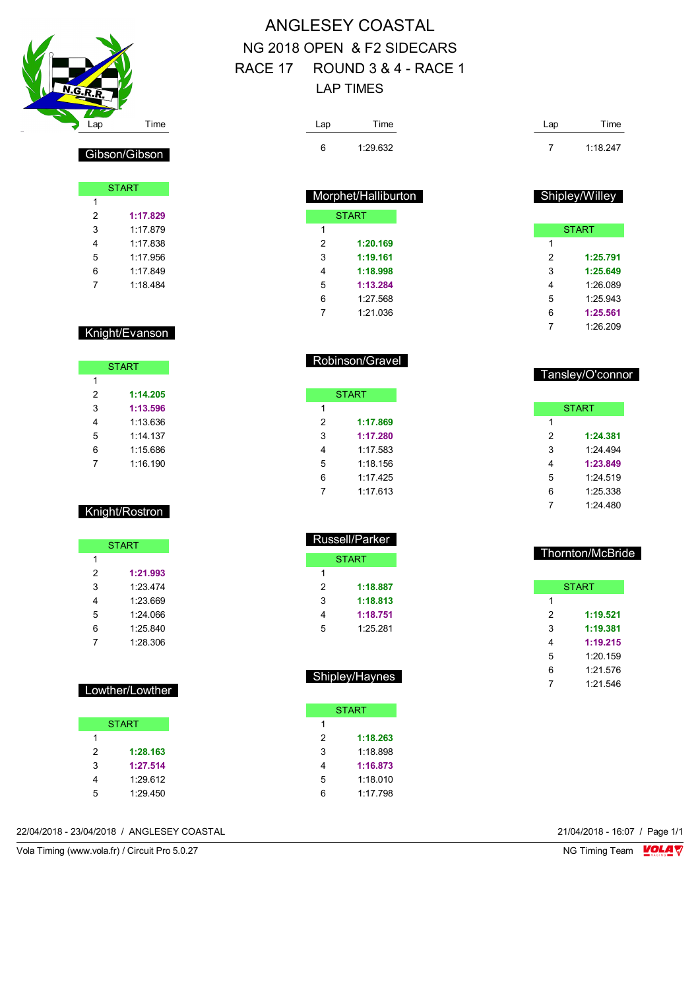

Gibson/Gibson

START

 **1:17.829** 1:17.879 1:17.838 1:17.956 1:17.849 1:18.484

Knight/Evanson

**START** 

 **1:14.205 1:13.596** 1:13.636 1:14.137 1:15.686 1:16.190

Knight/Rostron

**START** 

 **1:21.993** 1:23.474 1:23.669 1:24.066 1:25.840 1:28.306

Lowther/Lowther

START

 **1:28.163 1:27.514** 1:29.612 1:29.450

### ANGLESEY COASTAL NG 2018 OPEN & F2 SIDECARS RACE 17 ROUND 3 & 4 - RACE 1 LAP TIMES

| Lap | Time     | Lap | Time     |
|-----|----------|-----|----------|
| 6   | 1:29.632 |     | 1:18.247 |

| Morphet/Halliburton |              |  |  |  |  |
|---------------------|--------------|--|--|--|--|
|                     | <b>START</b> |  |  |  |  |
| 1                   |              |  |  |  |  |
| $\mathcal{P}$       | 1:20.169     |  |  |  |  |
| 3                   | 1:19.161     |  |  |  |  |
| 4                   | 1:18.998     |  |  |  |  |
| 5                   | 1:13.284     |  |  |  |  |
| 6                   | 1.27 568     |  |  |  |  |
|                     | 1.21 036     |  |  |  |  |

Robinson/Gravel

**START** 

 **1:17.869 1:17.280** 1:17.583 1:18.156 1:17.425 1:17.613

| <b>START</b> |          |  |  |  |  |
|--------------|----------|--|--|--|--|
| 1            |          |  |  |  |  |
| 2            | 1:25.791 |  |  |  |  |
| 3            | 1:25.649 |  |  |  |  |
| 4            | 1:26.089 |  |  |  |  |
| 5            | 1:25.943 |  |  |  |  |
| 6            | 1:25.561 |  |  |  |  |
| 7            | 1:26.209 |  |  |  |  |
|              |          |  |  |  |  |

Shipley/Willey

| Tansley/O connoi |          |  |  |  |  |
|------------------|----------|--|--|--|--|
|                  |          |  |  |  |  |
|                  |          |  |  |  |  |
|                  | START    |  |  |  |  |
| 1                |          |  |  |  |  |
| 2                | 1:24.381 |  |  |  |  |
| 3                | 1.24 494 |  |  |  |  |
| 4                | 1:23.849 |  |  |  |  |
| 5                | 1:24.519 |  |  |  |  |

| 4 | 1.23.049 |  |
|---|----------|--|
| 5 | 1:24.519 |  |
| 6 | 1:25.338 |  |
| 7 | 1:24.480 |  |
|   |          |  |

| Thornton/McBride |              |  |  |  |  |
|------------------|--------------|--|--|--|--|
|                  |              |  |  |  |  |
|                  | <b>START</b> |  |  |  |  |
| 1                |              |  |  |  |  |
| 2                | 1:19.521     |  |  |  |  |
| 3                | 1:19.381     |  |  |  |  |
| 4                | 1:19.215     |  |  |  |  |
| 5                | 1.20159      |  |  |  |  |
| 6                | 1.21576      |  |  |  |  |
|                  | 1.21.546     |  |  |  |  |

| Tansley/O'connor |
|------------------|
|                  |

|   | <b>START</b>   |  |  |  |  |
|---|----------------|--|--|--|--|
| 1 |                |  |  |  |  |
| 2 | 1:18.887       |  |  |  |  |
| 3 | 1:18.813       |  |  |  |  |
| 4 | 1:18.751       |  |  |  |  |
| 5 | 1:25.281       |  |  |  |  |
|   |                |  |  |  |  |
|   |                |  |  |  |  |
|   |                |  |  |  |  |
|   | Shipley/Haynes |  |  |  |  |

Russell/Parker

|   | START    |
|---|----------|
| 1 |          |
| 2 | 1:18.263 |
| 3 | 1:18.898 |
| 4 | 1:16.873 |
| 5 | 1:18.010 |
| հ | 1.17 798 |

| 22/04/2018 - 23/04/2018 / ANGLESEY COASTAL | 21/04/2018 - 16:07 / Page 1/1 |  |
|--------------------------------------------|-------------------------------|--|
|                                            |                               |  |

Vola Timing (www.vola.fr) / Circuit Pro 5.0.27 NG Timing Team NG Timing Team NG Timing Team NG Timing Team NG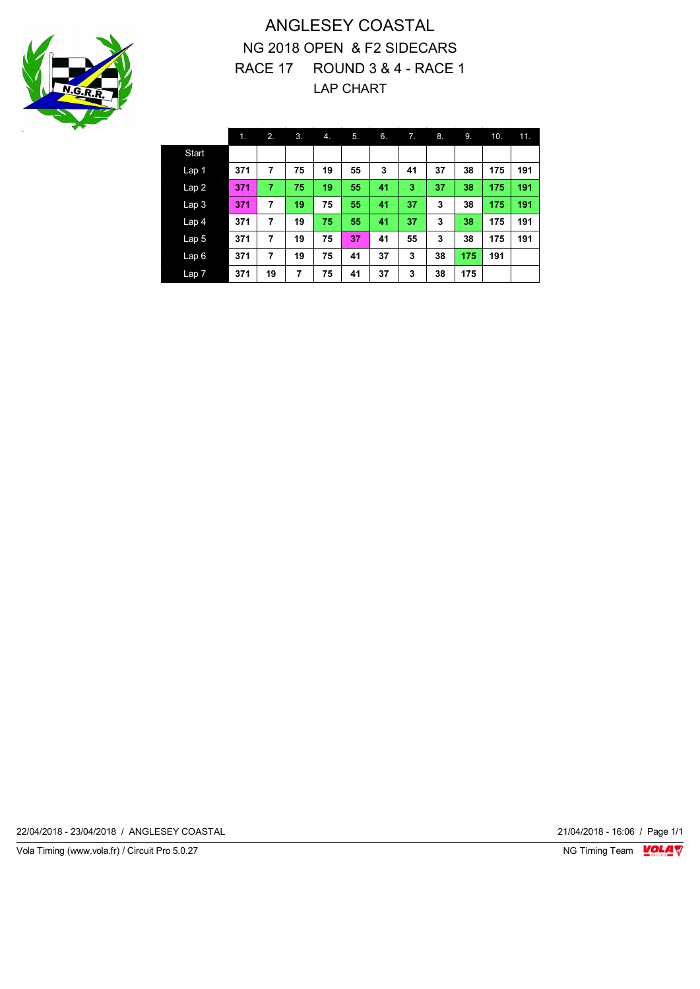

#### ANGLESEY COASTAL NG 2018 OPEN & F2 SIDECARS RACE 17 ROUND 3 & 4 - RACE 1 LAP CHART

|                  | 1.  | 2. | 3. | 4. | 5. | 6. | 7. | 8. | 9.  | 10. | 11. |
|------------------|-----|----|----|----|----|----|----|----|-----|-----|-----|
| <b>Start</b>     |     |    |    |    |    |    |    |    |     |     |     |
| Lap <sub>1</sub> | 371 | 7  | 75 | 19 | 55 | 3  | 41 | 37 | 38  | 175 | 191 |
| Lap2             | 371 | 7  | 75 | 19 | 55 | 41 | 3  | 37 | 38  | 175 | 191 |
| Lap <sub>3</sub> | 371 | 7  | 19 | 75 | 55 | 41 | 37 | 3  | 38  | 175 | 191 |
| Lap <sub>4</sub> | 371 | 7  | 19 | 75 | 55 | 41 | 37 | 3  | 38  | 175 | 191 |
| Lap <sub>5</sub> | 371 | 7  | 19 | 75 | 37 | 41 | 55 | 3  | 38  | 175 | 191 |
| Lap6             | 371 | 7  | 19 | 75 | 41 | 37 | 3  | 38 | 175 | 191 |     |
| Lap <sub>7</sub> | 371 | 19 | 7  | 75 | 41 | 37 | 3  | 38 | 175 |     |     |

22/04/2018 - 23/04/2018 / ANGLESEY COASTAL 21/04/2018 - 16:06 / Page 1/1

Vola Timing (www.vola.fr) / Circuit Pro 5.0.27 **NG Timing Team Monet Account Property**